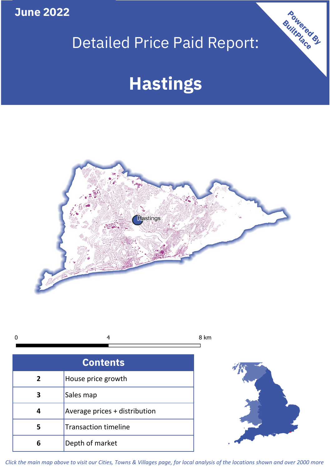**June 2022**

## Detailed Price Paid Report:

# **Hastings**



8 km  $\mathbf 0$ 4

| <b>Contents</b> |                               |  |  |
|-----------------|-------------------------------|--|--|
| $\overline{2}$  | House price growth            |  |  |
| 3               | Sales map                     |  |  |
|                 | Average prices + distribution |  |  |
| 5               | <b>Transaction timeline</b>   |  |  |
| 6               | Depth of market               |  |  |



Powered By

*Click the main map above to visit our Cities, Towns & Villages page, for local analysis of the locations shown and over 2000 more*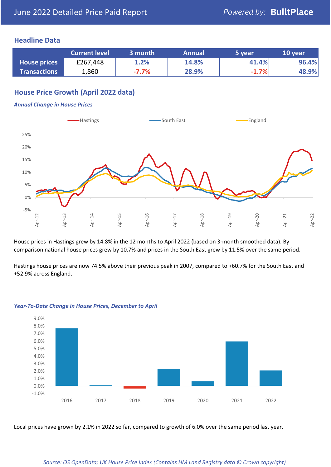#### **Headline Data**

|                     | <b>Current level</b> | 3 month | <b>Annual</b> | 5 year  | 10 year |
|---------------------|----------------------|---------|---------------|---------|---------|
| <b>House prices</b> | £267,448             | 1.2%    | 14.8%         | 41.4%   | 96.4%   |
| <b>Transactions</b> | 1,860                | $-7.7%$ | 28.9%         | $-1.7%$ | 48.9%   |

### **House Price Growth (April 2022 data)**

#### *Annual Change in House Prices*



House prices in Hastings grew by 14.8% in the 12 months to April 2022 (based on 3-month smoothed data). By comparison national house prices grew by 10.7% and prices in the South East grew by 11.5% over the same period.

Hastings house prices are now 74.5% above their previous peak in 2007, compared to +60.7% for the South East and +52.9% across England.



#### *Year-To-Date Change in House Prices, December to April*

Local prices have grown by 2.1% in 2022 so far, compared to growth of 6.0% over the same period last year.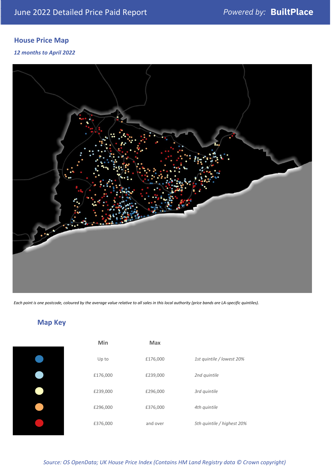## **House Price Map**

#### *12 months to April 2022*



*Each point is one postcode, coloured by the average value relative to all sales in this local authority (price bands are LA-specific quintiles).*

**Map Key**

| Min      | <b>Max</b> |                            |
|----------|------------|----------------------------|
| Up to    | £176,000   | 1st quintile / lowest 20%  |
| £176,000 | £239,000   | 2nd quintile               |
| £239,000 | £296,000   | 3rd quintile               |
| £296,000 | £376,000   | 4th quintile               |
| £376,000 | and over   | 5th quintile / highest 20% |

#### *Source: OS OpenData; UK House Price Index (Contains HM Land Registry data © Crown copyright)*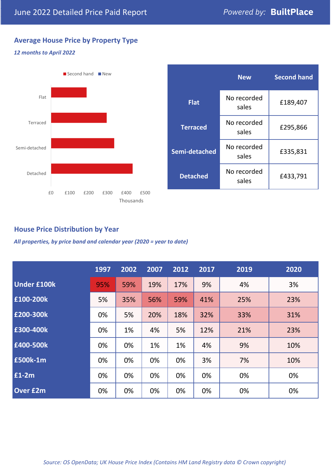### **Average House Price by Property Type**

#### *12 months to April 2022*



|                 | <b>New</b>           | <b>Second hand</b> |  |
|-----------------|----------------------|--------------------|--|
| <b>Flat</b>     | No recorded<br>sales | £189,407           |  |
| <b>Terraced</b> | No recorded<br>sales | £295,866           |  |
| Semi-detached   | No recorded<br>sales | £335,831           |  |
| <b>Detached</b> | No recorded<br>sales | £433,791           |  |

#### **House Price Distribution by Year**

*All properties, by price band and calendar year (2020 = year to date)*

|                    | 1997 | 2002 | 2007 | 2012 | 2017 | 2019 | 2020 |
|--------------------|------|------|------|------|------|------|------|
| <b>Under £100k</b> | 95%  | 59%  | 19%  | 17%  | 9%   | 4%   | 3%   |
| £100-200k          | 5%   | 35%  | 56%  | 59%  | 41%  | 25%  | 23%  |
| £200-300k          | 0%   | 5%   | 20%  | 18%  | 32%  | 33%  | 31%  |
| £300-400k          | 0%   | 1%   | 4%   | 5%   | 12%  | 21%  | 23%  |
| £400-500k          | 0%   | 0%   | 1%   | 1%   | 4%   | 9%   | 10%  |
| <b>£500k-1m</b>    | 0%   | 0%   | 0%   | 0%   | 3%   | 7%   | 10%  |
| £1-2m              | 0%   | 0%   | 0%   | 0%   | 0%   | 0%   | 0%   |
| <b>Over £2m</b>    | 0%   | 0%   | 0%   | 0%   | 0%   | 0%   | 0%   |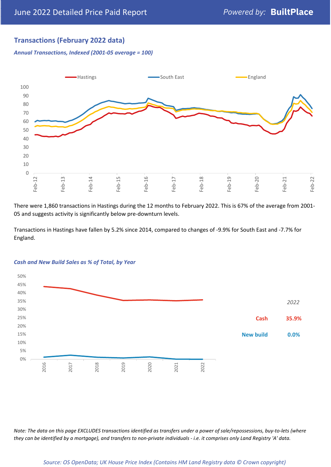### **Transactions (February 2022 data)**

*Annual Transactions, Indexed (2001-05 average = 100)*



There were 1,860 transactions in Hastings during the 12 months to February 2022. This is 67% of the average from 2001- 05 and suggests activity is significantly below pre-downturn levels.

Transactions in Hastings have fallen by 5.2% since 2014, compared to changes of -9.9% for South East and -7.7% for England.



#### *Cash and New Build Sales as % of Total, by Year*

*Note: The data on this page EXCLUDES transactions identified as transfers under a power of sale/repossessions, buy-to-lets (where they can be identified by a mortgage), and transfers to non-private individuals - i.e. it comprises only Land Registry 'A' data.*